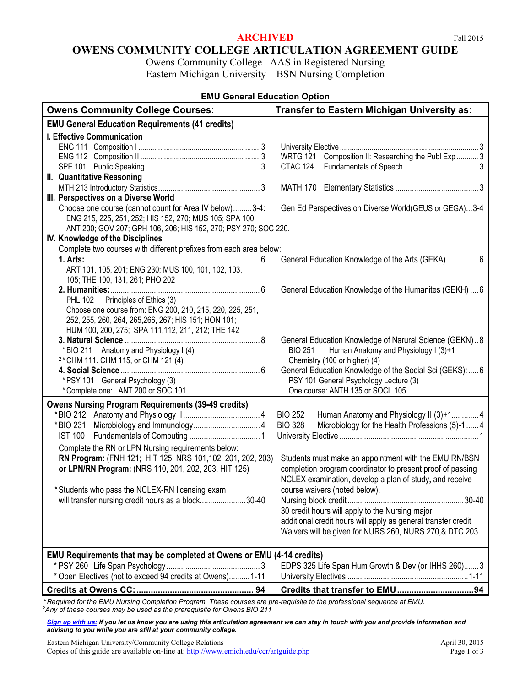## **ARCHIVED** Fall 2015

Owens Community College– AAS in Registered Nursing Eastern Michigan University – BSN Nursing Completion

| <b>EMU General Education Option</b>                                                                                                                                                  |                                                                            |  |
|--------------------------------------------------------------------------------------------------------------------------------------------------------------------------------------|----------------------------------------------------------------------------|--|
| <b>Owens Community College Courses:</b>                                                                                                                                              | <b>Transfer to Eastern Michigan University as:</b>                         |  |
| <b>EMU General Education Requirements (41 credits)</b>                                                                                                                               |                                                                            |  |
| <b>I. Effective Communication</b>                                                                                                                                                    |                                                                            |  |
|                                                                                                                                                                                      |                                                                            |  |
|                                                                                                                                                                                      | WRTG 121 Composition II: Researching the Publ Exp  3                       |  |
| 3<br>SPE 101 Public Speaking                                                                                                                                                         | CTAC 124 Fundamentals of Speech<br>3                                       |  |
| II. Quantitative Reasoning                                                                                                                                                           |                                                                            |  |
|                                                                                                                                                                                      |                                                                            |  |
| III. Perspectives on a Diverse World                                                                                                                                                 |                                                                            |  |
| Choose one course (cannot count for Area IV below)3-4:<br>ENG 215, 225, 251, 252; HIS 152, 270; MUS 105; SPA 100;<br>ANT 200; GOV 207; GPH 106, 206; HIS 152, 270; PSY 270; SOC 220. | Gen Ed Perspectives on Diverse World(GEUS or GEGA)3-4                      |  |
| IV. Knowledge of the Disciplines                                                                                                                                                     |                                                                            |  |
| Complete two courses with different prefixes from each area below:                                                                                                                   |                                                                            |  |
|                                                                                                                                                                                      | General Education Knowledge of the Arts (GEKA)  6                          |  |
| ART 101, 105, 201; ENG 230; MUS 100, 101, 102, 103,<br>105; THE 100, 131, 261; PHO 202                                                                                               |                                                                            |  |
|                                                                                                                                                                                      | General Education Knowledge of the Humanites (GEKH)  6                     |  |
| Principles of Ethics (3)<br><b>PHL 102</b>                                                                                                                                           |                                                                            |  |
| Choose one course from: ENG 200, 210, 215, 220, 225, 251,                                                                                                                            |                                                                            |  |
| 252, 255, 260, 264, 265, 266, 267; HIS 151; HON 101;                                                                                                                                 |                                                                            |  |
| HUM 100, 200, 275; SPA 111, 112, 211, 212; THE 142                                                                                                                                   |                                                                            |  |
|                                                                                                                                                                                      | General Education Knowledge of Narural Science (GEKN)8                     |  |
| *BIO 211 Anatomy and Physiology I (4)                                                                                                                                                | Human Anatomy and Physiology I (3)+1<br><b>BIO 251</b>                     |  |
| <sup>2</sup> * CHM 111. CHM 115, or CHM 121 (4)                                                                                                                                      | Chemistry (100 or higher) (4)                                              |  |
|                                                                                                                                                                                      | General Education Knowledge of the Social Sci (GEKS):  6                   |  |
| * PSY 101 General Psychology (3)<br>*Complete one: ANT 200 or SOC 101                                                                                                                | PSY 101 General Psychology Lecture (3)<br>One course: ANTH 135 or SOCL 105 |  |
|                                                                                                                                                                                      |                                                                            |  |
| <b>Owens Nursing Program Requirements (39-49 credits)</b>                                                                                                                            |                                                                            |  |
|                                                                                                                                                                                      | <b>BIO 252</b><br>Human Anatomy and Physiology II (3)+14                   |  |
|                                                                                                                                                                                      | <b>BIO 328</b><br>Microbiology for the Health Professions (5)-1  4         |  |
|                                                                                                                                                                                      |                                                                            |  |
| Complete the RN or LPN Nursing requirements below:                                                                                                                                   |                                                                            |  |
| RN Program: (FNH 121; HIT 125; NRS 101, 102, 201, 202, 203)                                                                                                                          | Students must make an appointment with the EMU RN/BSN                      |  |
| or LPN/RN Program: (NRS 110, 201, 202, 203, HIT 125)                                                                                                                                 | completion program coordinator to present proof of passing                 |  |
|                                                                                                                                                                                      | NCLEX examination, develop a plan of study, and receive                    |  |
| * Students who pass the NCLEX-RN licensing exam                                                                                                                                      | course waivers (noted below).                                              |  |
| will transfer nursing credit hours as a block30-40                                                                                                                                   |                                                                            |  |
|                                                                                                                                                                                      | 30 credit hours will apply to the Nursing major                            |  |
|                                                                                                                                                                                      | additional credit hours will apply as general transfer credit              |  |
|                                                                                                                                                                                      | Waivers will be given for NURS 260, NURS 270,& DTC 203                     |  |
|                                                                                                                                                                                      |                                                                            |  |
| EMU Requirements that may be completed at Owens or EMU (4-14 credits)                                                                                                                |                                                                            |  |
| * Open Electives (not to exceed 94 credits at Owens) 1-11                                                                                                                            | EDPS 325 Life Span Hum Growth & Dev (or IHHS 260) 3                        |  |
|                                                                                                                                                                                      |                                                                            |  |
|                                                                                                                                                                                      |                                                                            |  |

*\* Required for the EMU Nursing Completion Program. These courses are pre-requisite to the professional sequence at EMU. 2 Any of these courses may be used as the prerequisite for Owens BIO 211*

*[Sign up with us:](https://www.emich.edu/ccr/articulation-agreements/signup.php) If you let us know you are using this articulation agreement we can stay in touch with you and provide information and advising to you while you are still at your community college.* 

Eastern Michigan University/Community College Relations April 30, 2015 Copies of this guide are available on-line at[: http://www.emich.edu/ccr/artguide.php](http://www.emich.edu/ccr/artguide.php) Page 1 of 3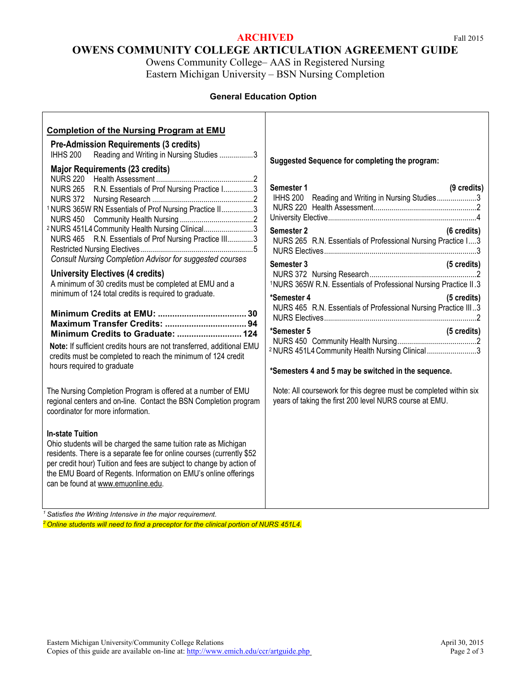# **ARCHIVED** Fall 2015

# **OWENS COMMUNITY COLLEGE ARTICULATION AGREEMENT GUIDE**

Owens Community College– AAS in Registered Nursing Eastern Michigan University – BSN Nursing Completion

# **General Education Option**

| <b>Completion of the Nursing Program at EMU</b><br><b>Pre-Admission Requirements (3 credits)</b><br><b>IHHS 200</b><br>Reading and Writing in Nursing Studies 3<br><b>Major Requirements (23 credits)</b>                                                                                                                                                                                                                                                                                                                                                                                                                                                                                                                                                                                                                                                                                                                                                                                                                                                                                                                                                                                                                                          | Suggested Sequence for completing the program:                                                                                                                                                                                                                                                                                                                                                                                                                                                                                                                                                                                                                              |
|----------------------------------------------------------------------------------------------------------------------------------------------------------------------------------------------------------------------------------------------------------------------------------------------------------------------------------------------------------------------------------------------------------------------------------------------------------------------------------------------------------------------------------------------------------------------------------------------------------------------------------------------------------------------------------------------------------------------------------------------------------------------------------------------------------------------------------------------------------------------------------------------------------------------------------------------------------------------------------------------------------------------------------------------------------------------------------------------------------------------------------------------------------------------------------------------------------------------------------------------------|-----------------------------------------------------------------------------------------------------------------------------------------------------------------------------------------------------------------------------------------------------------------------------------------------------------------------------------------------------------------------------------------------------------------------------------------------------------------------------------------------------------------------------------------------------------------------------------------------------------------------------------------------------------------------------|
| NURS 265 R.N. Essentials of Prof Nursing Practice I3<br><b>NURS 372</b><br><sup>1</sup> NURS 365W RN Essentials of Prof Nursing Practice II3<br><sup>2</sup> NURS 451L4 Community Health Nursing Clinical3<br>NURS 465 R.N. Essentials of Prof Nursing Practice III3<br><b>Consult Nursing Completion Advisor for suggested courses</b><br><b>University Electives (4 credits)</b><br>A minimum of 30 credits must be completed at EMU and a<br>minimum of 124 total credits is required to graduate.<br>Minimum Credits to Graduate:  124<br>Note: If sufficient credits hours are not transferred, additional EMU<br>credits must be completed to reach the minimum of 124 credit<br>hours required to graduate<br>The Nursing Completion Program is offered at a number of EMU<br>regional centers and on-line. Contact the BSN Completion program<br>coordinator for more information.<br><b>In-state Tuition</b><br>Ohio students will be charged the same tuition rate as Michigan<br>residents. There is a separate fee for online courses (currently \$52<br>per credit hour) Tuition and fees are subject to change by action of<br>the EMU Board of Regents. Information on EMU's online offerings<br>can be found at www.emuonline.edu. | Semester 1<br>(9 credits)<br>IHHS 200 Reading and Writing in Nursing Studies3<br>Semester 2<br>(6 credits)<br>NURS 265 R.N. Essentials of Professional Nursing Practice I3<br>Semester 3<br>(5 credits)<br><sup>1</sup> NURS 365W R.N. Essentials of Professional Nursing Practice II.3<br>*Semester 4<br>(5 credits)<br>NURS 465 R.N. Essentials of Professional Nursing Practice III3<br>*Semester 5<br>(5 credits)<br><sup>2</sup> NURS 451L4 Community Health Nursing Clinical 3<br>*Semesters 4 and 5 may be switched in the sequence.<br>Note: All coursework for this degree must be completed within six<br>years of taking the first 200 level NURS course at EMU. |
| $1$ Satisfies the Writing Intensive in the major requirement.                                                                                                                                                                                                                                                                                                                                                                                                                                                                                                                                                                                                                                                                                                                                                                                                                                                                                                                                                                                                                                                                                                                                                                                      |                                                                                                                                                                                                                                                                                                                                                                                                                                                                                                                                                                                                                                                                             |

*<sup>2</sup> Online students will need to find a preceptor for the clinical portion of NURS 451L4.*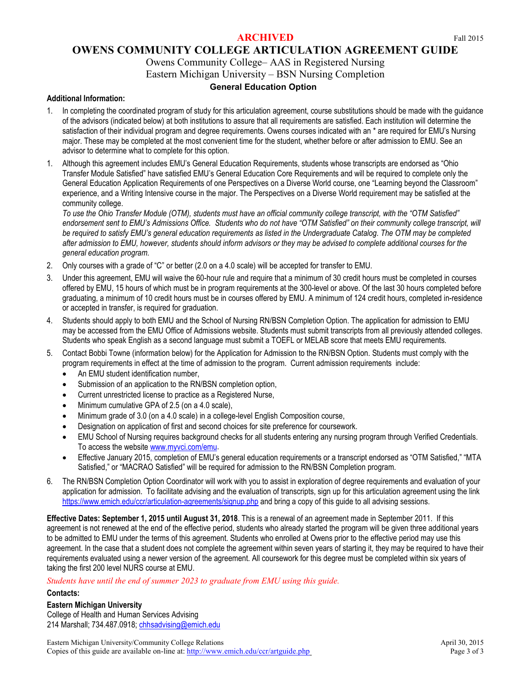# **OWENS COMMUNITY COLLEGE ARTICULATION AGREEMENT GUIDE**

# Owens Community College– AAS in Registered Nursing

Eastern Michigan University – BSN Nursing Completion

# **General Education Option**

## **Additional Information:**

- 1. In completing the coordinated program of study for this articulation agreement, course substitutions should be made with the guidance of the advisors (indicated below) at both institutions to assure that all requirements are satisfied. Each institution will determine the satisfaction of their individual program and degree requirements. Owens courses indicated with an \* are required for EMU's Nursing major. These may be completed at the most convenient time for the student, whether before or after admission to EMU. See an advisor to determine what to complete for this option.
- 1. Although this agreement includes EMU's General Education Requirements, students whose transcripts are endorsed as "Ohio Transfer Module Satisfied" have satisfied EMU's General Education Core Requirements and will be required to complete only the General Education Application Requirements of one Perspectives on a Diverse World course, one "Learning beyond the Classroom" experience, and a Writing Intensive course in the major. The Perspectives on a Diverse World requirement may be satisfied at the community college.

*To use the Ohio Transfer Module (OTM), students must have an official community college transcript, with the "OTM Satisfied" endorsement sent to EMU's Admissions Office. Students who do not have "OTM Satisfied" on their community college transcript, will be required to satisfy EMU's general education requirements as listed in the Undergraduate Catalog. The OTM may be completed after admission to EMU, however, students should inform advisors or they may be advised to complete additional courses for the general education program.*

- 2. Only courses with a grade of "C" or better (2.0 on a 4.0 scale) will be accepted for transfer to EMU.
- 3. Under this agreement, EMU will waive the 60-hour rule and require that a minimum of 30 credit hours must be completed in courses offered by EMU, 15 hours of which must be in program requirements at the 300-level or above. Of the last 30 hours completed before graduating, a minimum of 10 credit hours must be in courses offered by EMU. A minimum of 124 credit hours, completed in-residence or accepted in transfer, is required for graduation.
- 4. Students should apply to both EMU and the School of Nursing RN/BSN Completion Option. The application for admission to EMU may be accessed from the EMU Office of Admissions website. Students must submit transcripts from all previously attended colleges. Students who speak English as a second language must submit a TOEFL or MELAB score that meets EMU requirements.
- 5. Contact Bobbi Towne (information below) for the Application for Admission to the RN/BSN Option. Students must comply with the program requirements in effect at the time of admission to the program. Current admission requirements include:
	- An EMU student identification number,
	- Submission of an application to the RN/BSN completion option,
	- Current unrestricted license to practice as a Registered Nurse,
	- Minimum cumulative GPA of 2.5 (on a 4.0 scale),
	- Minimum grade of 3.0 (on a 4.0 scale) in a college-level English Composition course,
	- Designation on application of first and second choices for site preference for coursework.
	- EMU School of Nursing requires background checks for all students entering any nursing program through Verified Credentials. To access the website [www.myvci.com/emu.](http://www.myvci.com/emu)
	- Effective January 2015, completion of EMU's general education requirements or a transcript endorsed as "OTM Satisfied," "MTA Satisfied," or "MACRAO Satisfied" will be required for admission to the RN/BSN Completion program.
- 6. Th[e RN/BSN Completion Option Coordinator](http://www.emich.edu/nursing/advisors.html) will work with you to assist in exploration of degree requirements and evaluation of your application for admission. To facilitate advising and the evaluation of transcripts, sign up for this articulation agreement using the link <https://www.emich.edu/ccr/articulation-agreements/signup.php> and bring a copy of this guide to all advising sessions.

**Effective Dates: September 1, 2015 until August 31, 2018**. This is a renewal of an agreement made in September 2011. If this agreement is not renewed at the end of the effective period, students who already started the program will be given three additional years to be admitted to EMU under the terms of this agreement. Students who enrolled at Owens prior to the effective period may use this agreement. In the case that a student does not complete the agreement within seven years of starting it, they may be required to have their requirements evaluated using a newer version of the agreement. All coursework for this degree must be completed within six years of taking the first 200 level NURS course at EMU.

*Students have until the end of summer 2023 to graduate from EMU using this guide.* 

#### **Contacts:**

## **Eastern Michigan University**

College of Health and Human Services Advising 214 Marshall; 734.487.0918[; chhsadvising@emich.edu](mailto:chhsadvising@emich.edu)

Eastern Michigan University/Community College Relations April 30, 2015 Copies of this guide are available on-line at[: http://www.emich.edu/ccr/artguide.php](http://www.emich.edu/ccr/artguide.php) Page 3 of 3